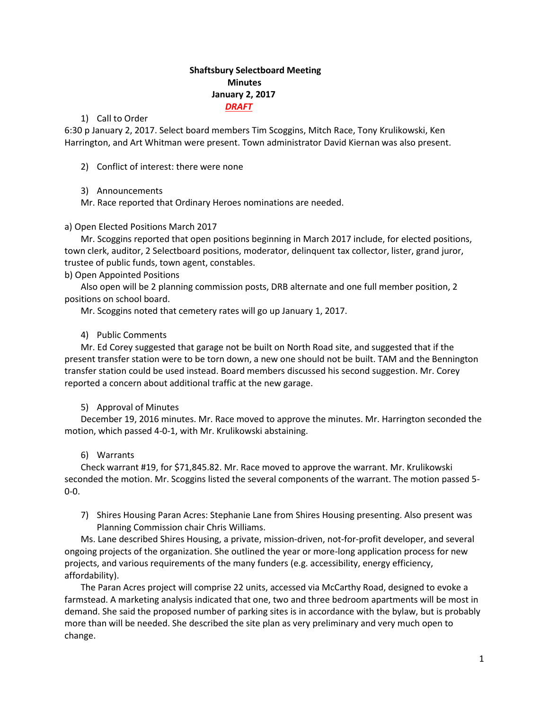# **Shaftsbury Selectboard Meeting Minutes January 2, 2017** *DRAFT*

### 1) Call to Order

6:30 p January 2, 2017. Select board members Tim Scoggins, Mitch Race, Tony Krulikowski, Ken Harrington, and Art Whitman were present. Town administrator David Kiernan was also present.

2) Conflict of interest: there were none

# 3) Announcements

Mr. Race reported that Ordinary Heroes nominations are needed.

# a) Open Elected Positions March 2017

Mr. Scoggins reported that open positions beginning in March 2017 include, for elected positions, town clerk, auditor, 2 Selectboard positions, moderator, delinquent tax collector, lister, grand juror, trustee of public funds, town agent, constables.

b) Open Appointed Positions

Also open will be 2 planning commission posts, DRB alternate and one full member position, 2 positions on school board.

Mr. Scoggins noted that cemetery rates will go up January 1, 2017.

# 4) Public Comments

Mr. Ed Corey suggested that garage not be built on North Road site, and suggested that if the present transfer station were to be torn down, a new one should not be built. TAM and the Bennington transfer station could be used instead. Board members discussed his second suggestion. Mr. Corey reported a concern about additional traffic at the new garage.

# 5) Approval of Minutes

December 19, 2016 minutes. Mr. Race moved to approve the minutes. Mr. Harrington seconded the motion, which passed 4-0-1, with Mr. Krulikowski abstaining.

# 6) Warrants

Check warrant #19, for \$71,845.82. Mr. Race moved to approve the warrant. Mr. Krulikowski seconded the motion. Mr. Scoggins listed the several components of the warrant. The motion passed 5- 0-0.

7) Shires Housing Paran Acres: Stephanie Lane from Shires Housing presenting. Also present was Planning Commission chair Chris Williams.

Ms. Lane described Shires Housing, a private, mission-driven, not-for-profit developer, and several ongoing projects of the organization. She outlined the year or more-long application process for new projects, and various requirements of the many funders (e.g. accessibility, energy efficiency, affordability).

The Paran Acres project will comprise 22 units, accessed via McCarthy Road, designed to evoke a farmstead. A marketing analysis indicated that one, two and three bedroom apartments will be most in demand. She said the proposed number of parking sites is in accordance with the bylaw, but is probably more than will be needed. She described the site plan as very preliminary and very much open to change.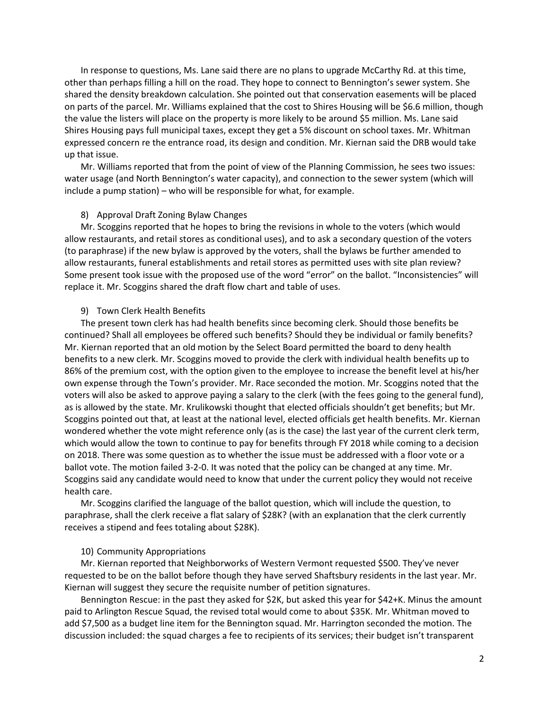In response to questions, Ms. Lane said there are no plans to upgrade McCarthy Rd. at this time, other than perhaps filling a hill on the road. They hope to connect to Bennington's sewer system. She shared the density breakdown calculation. She pointed out that conservation easements will be placed on parts of the parcel. Mr. Williams explained that the cost to Shires Housing will be \$6.6 million, though the value the listers will place on the property is more likely to be around \$5 million. Ms. Lane said Shires Housing pays full municipal taxes, except they get a 5% discount on school taxes. Mr. Whitman expressed concern re the entrance road, its design and condition. Mr. Kiernan said the DRB would take up that issue.

Mr. Williams reported that from the point of view of the Planning Commission, he sees two issues: water usage (and North Bennington's water capacity), and connection to the sewer system (which will include a pump station) – who will be responsible for what, for example.

#### 8) Approval Draft Zoning Bylaw Changes

Mr. Scoggins reported that he hopes to bring the revisions in whole to the voters (which would allow restaurants, and retail stores as conditional uses), and to ask a secondary question of the voters (to paraphrase) if the new bylaw is approved by the voters, shall the bylaws be further amended to allow restaurants, funeral establishments and retail stores as permitted uses with site plan review? Some present took issue with the proposed use of the word "error" on the ballot. "Inconsistencies" will replace it. Mr. Scoggins shared the draft flow chart and table of uses.

#### 9) Town Clerk Health Benefits

The present town clerk has had health benefits since becoming clerk. Should those benefits be continued? Shall all employees be offered such benefits? Should they be individual or family benefits? Mr. Kiernan reported that an old motion by the Select Board permitted the board to deny health benefits to a new clerk. Mr. Scoggins moved to provide the clerk with individual health benefits up to 86% of the premium cost, with the option given to the employee to increase the benefit level at his/her own expense through the Town's provider. Mr. Race seconded the motion. Mr. Scoggins noted that the voters will also be asked to approve paying a salary to the clerk (with the fees going to the general fund), as is allowed by the state. Mr. Krulikowski thought that elected officials shouldn't get benefits; but Mr. Scoggins pointed out that, at least at the national level, elected officials get health benefits. Mr. Kiernan wondered whether the vote might reference only (as is the case) the last year of the current clerk term, which would allow the town to continue to pay for benefits through FY 2018 while coming to a decision on 2018. There was some question as to whether the issue must be addressed with a floor vote or a ballot vote. The motion failed 3-2-0. It was noted that the policy can be changed at any time. Mr. Scoggins said any candidate would need to know that under the current policy they would not receive health care.

Mr. Scoggins clarified the language of the ballot question, which will include the question, to paraphrase, shall the clerk receive a flat salary of \$28K? (with an explanation that the clerk currently receives a stipend and fees totaling about \$28K).

#### 10) Community Appropriations

Mr. Kiernan reported that Neighborworks of Western Vermont requested \$500. They've never requested to be on the ballot before though they have served Shaftsbury residents in the last year. Mr. Kiernan will suggest they secure the requisite number of petition signatures.

Bennington Rescue: in the past they asked for \$2K, but asked this year for \$42+K. Minus the amount paid to Arlington Rescue Squad, the revised total would come to about \$35K. Mr. Whitman moved to add \$7,500 as a budget line item for the Bennington squad. Mr. Harrington seconded the motion. The discussion included: the squad charges a fee to recipients of its services; their budget isn't transparent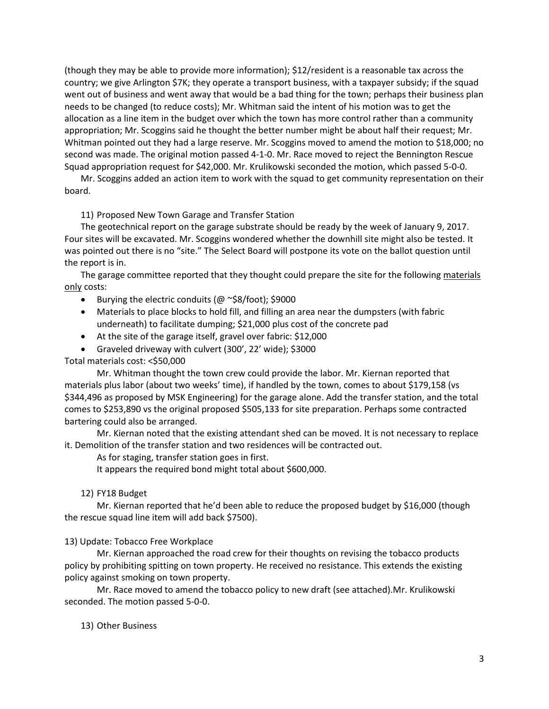(though they may be able to provide more information); \$12/resident is a reasonable tax across the country; we give Arlington \$7K; they operate a transport business, with a taxpayer subsidy; if the squad went out of business and went away that would be a bad thing for the town; perhaps their business plan needs to be changed (to reduce costs); Mr. Whitman said the intent of his motion was to get the allocation as a line item in the budget over which the town has more control rather than a community appropriation; Mr. Scoggins said he thought the better number might be about half their request; Mr. Whitman pointed out they had a large reserve. Mr. Scoggins moved to amend the motion to \$18,000; no second was made. The original motion passed 4-1-0. Mr. Race moved to reject the Bennington Rescue Squad appropriation request for \$42,000. Mr. Krulikowski seconded the motion, which passed 5-0-0.

Mr. Scoggins added an action item to work with the squad to get community representation on their board.

11) Proposed New Town Garage and Transfer Station

The geotechnical report on the garage substrate should be ready by the week of January 9, 2017. Four sites will be excavated. Mr. Scoggins wondered whether the downhill site might also be tested. It was pointed out there is no "site." The Select Board will postpone its vote on the ballot question until the report is in.

The garage committee reported that they thought could prepare the site for the following materials only costs:

- Burying the electric conduits (@ ~\$8/foot); \$9000
- Materials to place blocks to hold fill, and filling an area near the dumpsters (with fabric underneath) to facilitate dumping; \$21,000 plus cost of the concrete pad
- At the site of the garage itself, gravel over fabric: \$12,000
- Graveled driveway with culvert (300', 22' wide); \$3000

### Total materials cost: <\$50,000

Mr. Whitman thought the town crew could provide the labor. Mr. Kiernan reported that materials plus labor (about two weeks' time), if handled by the town, comes to about \$179,158 (vs \$344,496 as proposed by MSK Engineering) for the garage alone. Add the transfer station, and the total comes to \$253,890 vs the original proposed \$505,133 for site preparation. Perhaps some contracted bartering could also be arranged.

Mr. Kiernan noted that the existing attendant shed can be moved. It is not necessary to replace it. Demolition of the transfer station and two residences will be contracted out.

As for staging, transfer station goes in first.

It appears the required bond might total about \$600,000.

### 12) FY18 Budget

Mr. Kiernan reported that he'd been able to reduce the proposed budget by \$16,000 (though the rescue squad line item will add back \$7500).

### 13) Update: Tobacco Free Workplace

Mr. Kiernan approached the road crew for their thoughts on revising the tobacco products policy by prohibiting spitting on town property. He received no resistance. This extends the existing policy against smoking on town property.

Mr. Race moved to amend the tobacco policy to new draft (see attached).Mr. Krulikowski seconded. The motion passed 5-0-0.

13) Other Business